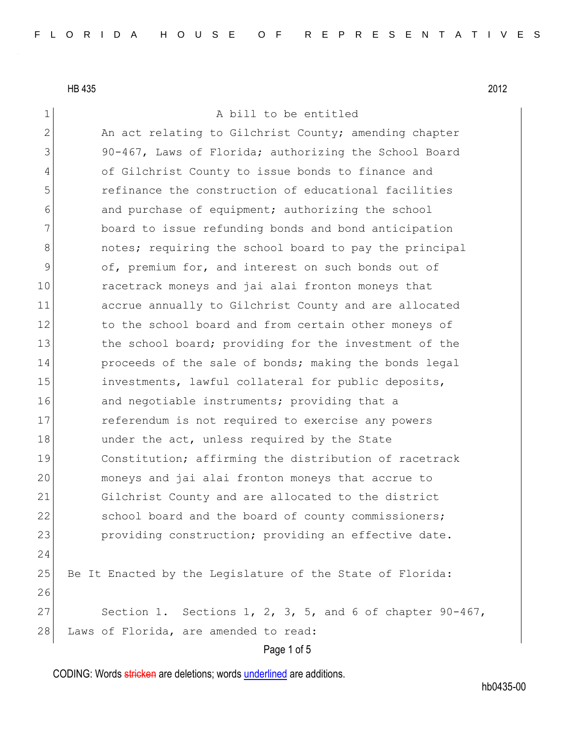1 a bill to be entitled

Page 1 of 5 2 An act relating to Gilchrist County; amending chapter 3 90-467, Laws of Florida; authorizing the School Board 4 of Gilchrist County to issue bonds to finance and 5 refinance the construction of educational facilities 6 6 and purchase of equipment; authorizing the school 7 board to issue refunding bonds and bond anticipation 8 8 6 8 notes; requiring the school board to pay the principal 9 of, premium for, and interest on such bonds out of 10 racetrack moneys and jai alai fronton moneys that 11 accrue annually to Gilchrist County and are allocated 12 to the school board and from certain other moneys of 13 the school board; providing for the investment of the 14 proceeds of the sale of bonds; making the bonds legal 15 investments, lawful collateral for public deposits, 16 and negotiable instruments; providing that a 17 **exercise** referendum is not required to exercise any powers 18 under the act, unless required by the State 19 Constitution; affirming the distribution of racetrack 20 moneys and jai alai fronton moneys that accrue to 21 Gilchrist County and are allocated to the district 22 school board and the board of county commissioners; 23 providing construction; providing an effective date. 24 25 Be It Enacted by the Legislature of the State of Florida: 26 27 Section 1. Sections 1, 2, 3, 5, and 6 of chapter  $90-467$ , 28 Laws of Florida, are amended to read:

CODING: Words stricken are deletions; words underlined are additions.

hb0435-00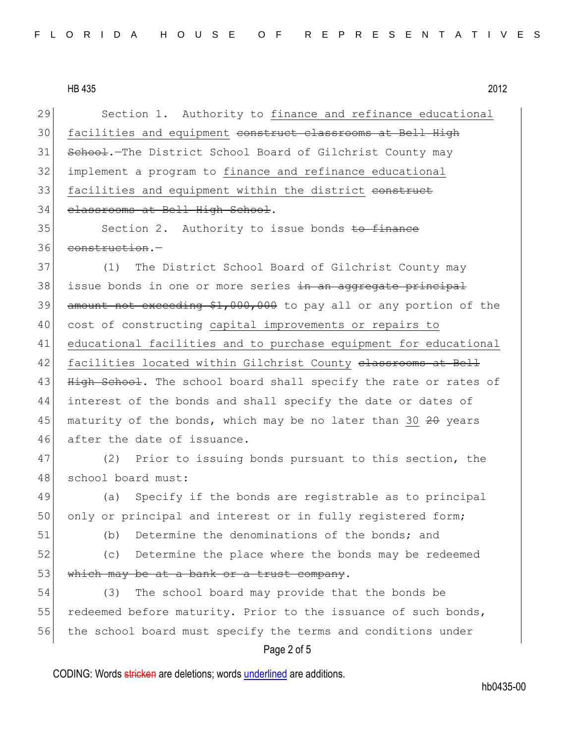Page 2 of 5 29 Section 1. Authority to finance and refinance educational 30 facilities and equipment construct classrooms at Bell High 31 School.-The District School Board of Gilchrist County may 32 implement a program to finance and refinance educational 33 facilities and equipment within the district construct 34 classrooms at Bell High School. 35 Section 2. Authority to issue bonds to finance 36 construction.-37 (1) The District School Board of Gilchrist County may 38 issue bonds in one or more series <del>in an aggregate principal</del> 39 amount not exceeding \$1,000,000 to pay all or any portion of the 40 cost of constructing capital improvements or repairs to 41 educational facilities and to purchase equipment for educational 42 facilities located within Gilchrist County elassrooms at Bell 43 High School. The school board shall specify the rate or rates of 44 interest of the bonds and shall specify the date or dates of 45 maturity of the bonds, which may be no later than 30  $20$  years 46 after the date of issuance. 47 (2) Prior to issuing bonds pursuant to this section, the 48 school board must: 49 (a) Specify if the bonds are registrable as to principal 50 only or principal and interest or in fully registered form; 51 (b) Determine the denominations of the bonds; and 52 (c) Determine the place where the bonds may be redeemed  $53$  which may be at a bank or a trust company. 54 (3) The school board may provide that the bonds be 55 redeemed before maturity. Prior to the issuance of such bonds, 56 the school board must specify the terms and conditions under

CODING: Words stricken are deletions; words underlined are additions.

hb0435-00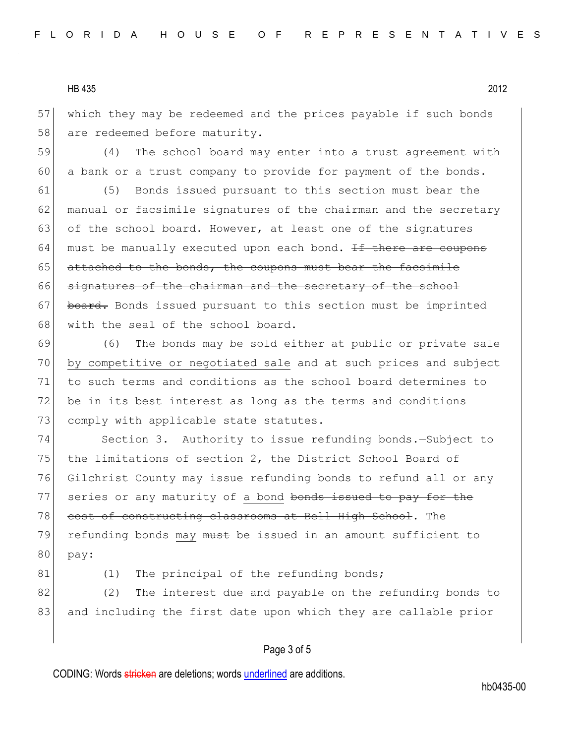57 which they may be redeemed and the prices payable if such bonds 58 are redeemed before maturity.

59 (4) The school board may enter into a trust agreement with 60 a bank or a trust company to provide for payment of the bonds.

61 (5) Bonds issued pursuant to this section must bear the 62 manual or facsimile signatures of the chairman and the secretary 63 of the school board. However, at least one of the signatures 64 must be manually executed upon each bond. If there are coupons 65 attached to the bonds, the coupons must bear the facsimile 66 signatures of the chairman and the secretary of the school 67 board. Bonds issued pursuant to this section must be imprinted 68 with the seal of the school board.

69 (6) The bonds may be sold either at public or private sale 70 by competitive or negotiated sale and at such prices and subject 71 to such terms and conditions as the school board determines to 72 be in its best interest as long as the terms and conditions 73 comply with applicable state statutes.

74 Section 3. Authority to issue refunding bonds. - Subject to 75 the limitations of section 2, the District School Board of 76 Gilchrist County may issue refunding bonds to refund all or any 77 series or any maturity of a bond bonds issued to pay for the 78 cost of constructing classrooms at Bell High School. The 79 refunding bonds may must be issued in an amount sufficient to 80 pay:

81 (1) The principal of the refunding bonds;

82 (2) The interest due and payable on the refunding bonds to 83 and including the first date upon which they are callable prior

## Page 3 of 5

CODING: Words stricken are deletions; words underlined are additions.

hb0435-00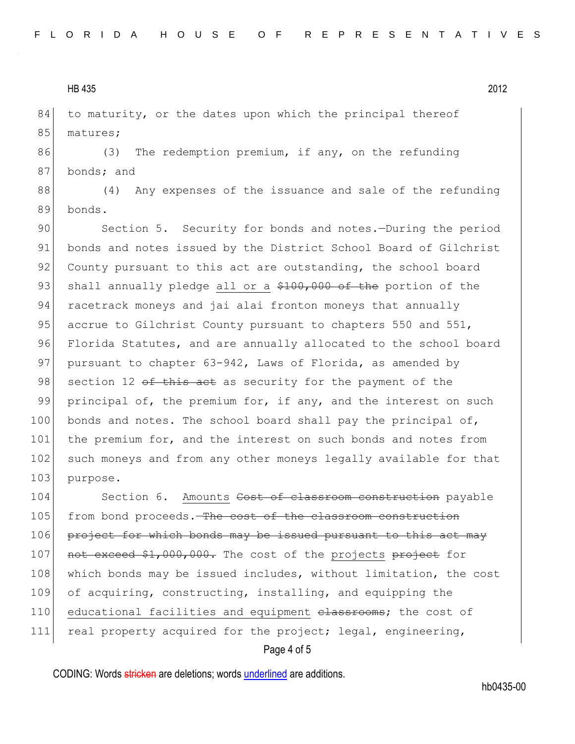84 to maturity, or the dates upon which the principal thereof 85 matures;

86 (3) The redemption premium, if any, on the refunding 87 bonds; and

88 (4) Any expenses of the issuance and sale of the refunding 89 bonds.

90 Section 5. Security for bonds and notes.—During the period 91 bonds and notes issued by the District School Board of Gilchrist 92 County pursuant to this act are outstanding, the school board 93 shall annually pledge all or a  $$100,000$  of the portion of the 94 racetrack moneys and jai alai fronton moneys that annually 95 accrue to Gilchrist County pursuant to chapters 550 and 551, 96 Florida Statutes, and are annually allocated to the school board 97 pursuant to chapter 63-942, Laws of Florida, as amended by 98 section 12  $\theta$  this act as security for the payment of the 99 principal of, the premium for, if any, and the interest on such 100 bonds and notes. The school board shall pay the principal of, 101 the premium for, and the interest on such bonds and notes from 102 such moneys and from any other moneys legally available for that 103 purpose.

104 Section 6. Amounts Cost of classroom construction payable 105 from bond proceeds. The cost of the classroom construction 106 project for which bonds may be issued pursuant to this act may 107 not exceed \$1,000,000. The cost of the projects project for 108 which bonds may be issued includes, without limitation, the cost 109 of acquiring, constructing, installing, and equipping the 110 educational facilities and equipment elassrooms; the cost of 111 real property acquired for the project; legal, engineering,

Page 4 of 5

CODING: Words stricken are deletions; words underlined are additions.